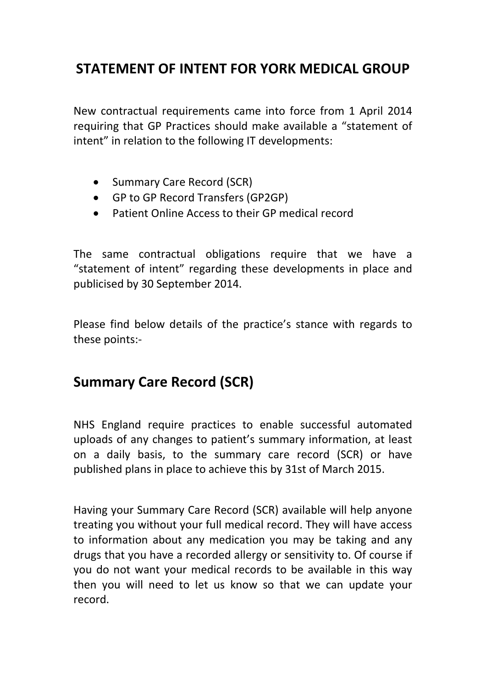## **STATEMENT OF INTENT FOR YORK MEDICAL GROUP**

New contractual requirements came into force from 1 April 2014 requiring that GP Practices should make available a "statement of intent" in relation to the following IT developments:

- Summary Care Record (SCR)
- GP to GP Record Transfers (GP2GP)
- Patient Online Access to their GP medical record

The same contractual obligations require that we have a "statement of intent" regarding these developments in place and publicised by 30 September 2014.

Please find below details of the practice's stance with regards to these points:-

## **Summary Care Record (SCR)**

NHS England require practices to enable successful automated uploads of any changes to patient's summary information, at least on a daily basis, to the summary care record (SCR) or have published plans in place to achieve this by 31st of March 2015.

Having your Summary Care Record (SCR) available will help anyone treating you without your full medical record. They will have access to information about any medication you may be taking and any drugs that you have a recorded allergy or sensitivity to. Of course if you do not want your medical records to be available in this way then you will need to let us know so that we can update your record.